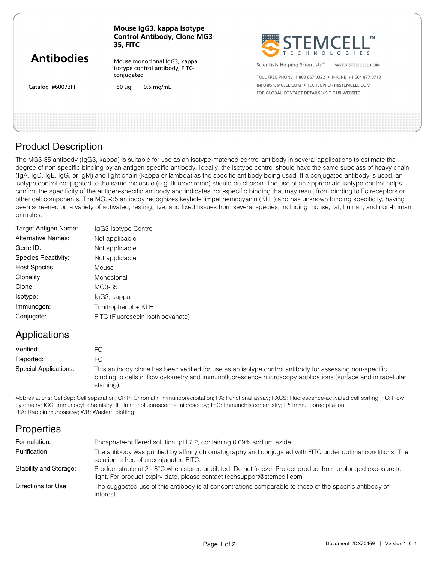| <b>Antibodies</b><br>Catalog #60073FI | Mouse IgG3, kappa Isotype<br><b>Control Antibody, Clone MG3-</b><br><b>35, FITC</b> | STEMCELL'                                                        |
|---------------------------------------|-------------------------------------------------------------------------------------|------------------------------------------------------------------|
|                                       | Mouse monoclonal IqG3, kappa<br>isotype control antibody, FITC-                     | Scientists Helping Scientists <sup>™</sup>  <br>WWW.STEMCELL.COM |
|                                       | conjugated                                                                          | TOLL FREE PHONE 1800 667 0322 · PHONE +1 604 877 0713            |
|                                       | $0.5$ mg/mL<br>50 $\mu$ q                                                           | INFO@STEMCELL.COM • TECHSUPPORT@STEMCELL.COM                     |
|                                       |                                                                                     | FOR GLOBAL CONTACT DETAILS VISIT OUR WEBSITE                     |
|                                       |                                                                                     |                                                                  |
|                                       |                                                                                     |                                                                  |
|                                       |                                                                                     |                                                                  |

#### Product Description

The MG3-35 antibody (IgG3, kappa) is suitable for use as an isotype-matched control antibody in several applications to estimate the degree of non-specific binding by an antigen-specific antibody. Ideally, the isotype control should have the same subclass of heavy chain (IgA, IgD, IgE, IgG, or IgM) and light chain (kappa or lambda) as the specific antibody being used. If a conjugated antibody is used, an isotype control conjugated to the same molecule (e.g. fluorochrome) should be chosen. The use of an appropriate isotype control helps confirm the specificity of the antigen-specific antibody and indicates non-specific binding that may result from binding to Fc receptors or other cell components. The MG3-35 antibody recognizes keyhole limpet hemocyanin (KLH) and has unknown binding specificity, having been screened on a variety of activated, resting, live, and fixed tissues from several species, including mouse, rat, human, and non-human primates.

| Target Antigen Name:      | IgG3 Isotype Control              |
|---------------------------|-----------------------------------|
| <b>Alternative Names:</b> | Not applicable                    |
| Gene ID:                  | Not applicable                    |
| Species Reactivity:       | Not applicable                    |
| <b>Host Species:</b>      | Mouse                             |
| Clonality:                | Monoclonal                        |
| Clone:                    | MG3-35                            |
| Isotype:                  | lgG3, kappa                       |
| Immunogen:                | Trinitrophenol + KLH              |
| Conjugate:                | FITC (Fluorescein isothiocyanate) |
|                           |                                   |

### Applications

| Verified:             |                                                                                                                                                                                                                                       |
|-----------------------|---------------------------------------------------------------------------------------------------------------------------------------------------------------------------------------------------------------------------------------|
| Reported:             |                                                                                                                                                                                                                                       |
| Special Applications: | This antibody clone has been verified for use as an isotype control antibody for assessing non-specific<br>binding to cells in flow cytometry and immunofluorescence microscopy applications (surface and intracellular<br>staining). |

Abbreviations: CellSep: Cell separation; ChIP: Chromatin immunoprecipitation; FA: Functional assay; FACS: Fluorescence-activated cell sorting; FC: Flow cytometry; ICC: Immunocytochemistry; IF: Immunofluorescence microscopy; IHC: Immunohistochemistry; IP: Immunoprecipitation; RIA: Radioimmunoassay; WB: Western blotting

# **Properties**

| Formulation:           | Phosphate-buffered solution, pH 7.2, containing 0.09% sodium azide                                                                                                                     |
|------------------------|----------------------------------------------------------------------------------------------------------------------------------------------------------------------------------------|
| Purification:          | The antibody was purified by affinity chromatography and conjugated with FITC under optimal conditions. The<br>solution is free of unconjugated FITC.                                  |
| Stability and Storage: | Product stable at 2 - 8°C when stored undiluted. Do not freeze. Protect product from prolonged exposure to<br>light. For product expiry date, please contact techsupport@stemcell.com. |
| Directions for Use:    | The suggested use of this antibody is at concentrations comparable to those of the specific antibody of<br>interest.                                                                   |